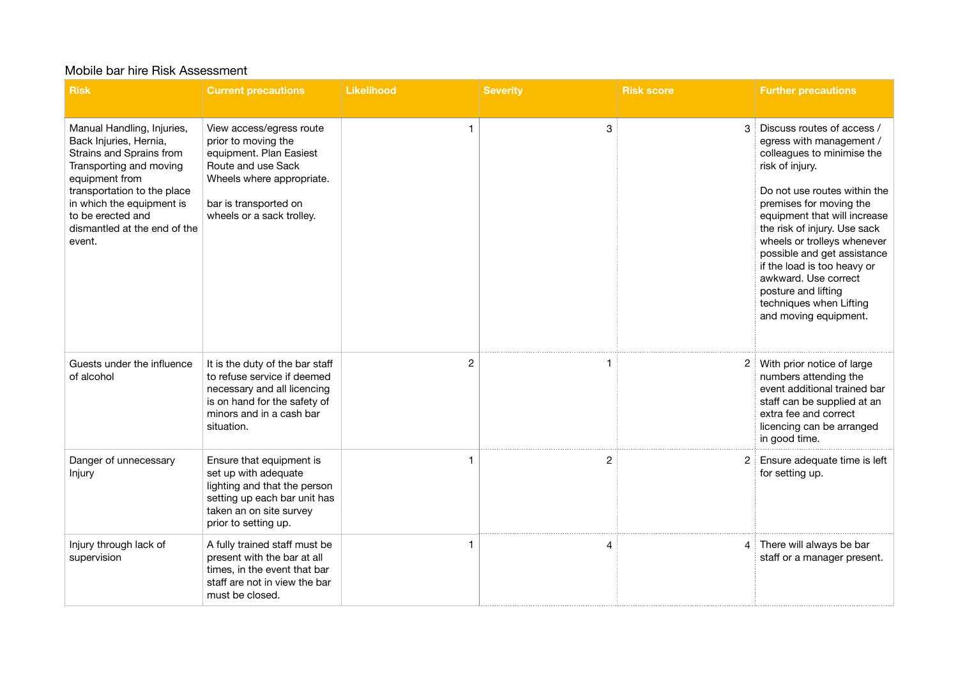## Mobile bar hire Risk Assessment

| <b>Risk</b>                                                                                                                                                                                                                                              | <b>Current precautions</b>                                                                                                                                                          | <b>Likelihood</b> | <b>Severity</b> | <b>Risk score</b> | <b>Further precautions</b>                                                                                                                                                                                                                                                                                                                                                                                                         |
|----------------------------------------------------------------------------------------------------------------------------------------------------------------------------------------------------------------------------------------------------------|-------------------------------------------------------------------------------------------------------------------------------------------------------------------------------------|-------------------|-----------------|-------------------|------------------------------------------------------------------------------------------------------------------------------------------------------------------------------------------------------------------------------------------------------------------------------------------------------------------------------------------------------------------------------------------------------------------------------------|
| Manual Handling, Injuries,<br>Back Injuries, Hernia,<br>Strains and Sprains from<br>Transporting and moving<br>equipment from<br>transportation to the place<br>in which the equipment is<br>to be erected and<br>dismantled at the end of the<br>event. | View access/egress route<br>prior to moving the<br>equipment. Plan Easiest<br>Route and use Sack<br>Wheels where appropriate.<br>bar is transported on<br>wheels or a sack trolley. | 1                 | 3               | 3                 | Discuss routes of access /<br>egress with management /<br>colleagues to minimise the<br>risk of injury.<br>Do not use routes within the<br>premises for moving the<br>equipment that will increase<br>the risk of injury. Use sack<br>wheels or trolleys whenever<br>possible and get assistance<br>if the load is too heavy or<br>awkward. Use correct<br>posture and lifting<br>techniques when Lifting<br>and moving equipment. |
| Guests under the influence<br>of alcohol                                                                                                                                                                                                                 | It is the duty of the bar staff<br>to refuse service if deemed<br>necessary and all licencing<br>is on hand for the safety of<br>minors and in a cash bar<br>situation.             | $\overline{2}$    |                 |                   | 2 With prior notice of large<br>numbers attending the<br>event additional trained bar<br>staff can be supplied at an<br>extra fee and correct<br>licencing can be arranged<br>in good time.                                                                                                                                                                                                                                        |
| Danger of unnecessary<br>Injury                                                                                                                                                                                                                          | Ensure that equipment is<br>set up with adequate<br>lighting and that the person<br>setting up each bar unit has<br>taken an on site survey<br>prior to setting up.                 |                   | 2               |                   | Ensure adequate time is left<br>for setting up.                                                                                                                                                                                                                                                                                                                                                                                    |
| Injury through lack of<br>supervision                                                                                                                                                                                                                    | A fully trained staff must be<br>present with the bar at all<br>times, in the event that bar<br>staff are not in view the bar<br>must be closed.                                    |                   | 4               |                   | 4 There will always be bar<br>staff or a manager present.                                                                                                                                                                                                                                                                                                                                                                          |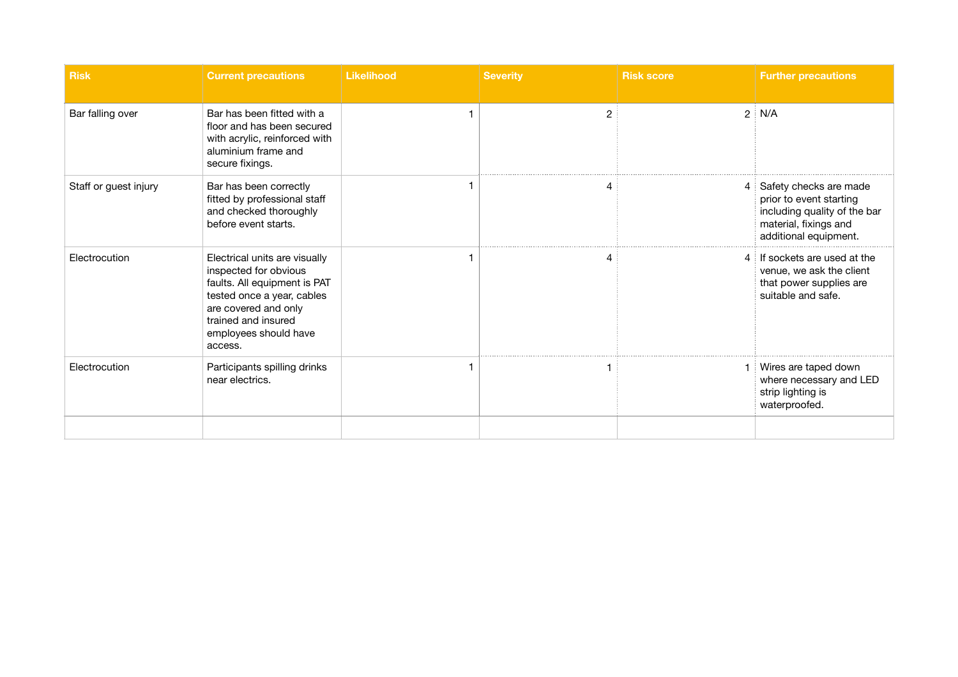| <b>Risk</b>           | <b>Current precautions</b>                                                                                                                                                                              | <b>Likelihood</b> | <b>Severity</b> | <b>Risk score</b> | <b>Further precautions</b>                                                                                                          |
|-----------------------|---------------------------------------------------------------------------------------------------------------------------------------------------------------------------------------------------------|-------------------|-----------------|-------------------|-------------------------------------------------------------------------------------------------------------------------------------|
| Bar falling over      | Bar has been fitted with a<br>floor and has been secured<br>with acrylic, reinforced with<br>aluminium frame and<br>secure fixings.                                                                     |                   | $\overline{2}$  | $\overline{2}$    | N/A                                                                                                                                 |
| Staff or guest injury | Bar has been correctly<br>fitted by professional staff<br>and checked thoroughly<br>before event starts.                                                                                                |                   |                 | 4                 | Safety checks are made<br>prior to event starting<br>including quality of the bar<br>material, fixings and<br>additional equipment. |
| Electrocution         | Electrical units are visually<br>inspected for obvious<br>faults. All equipment is PAT<br>tested once a year, cables<br>are covered and only<br>trained and insured<br>employees should have<br>access. |                   |                 | 4                 | If sockets are used at the<br>venue, we ask the client<br>that power supplies are<br>suitable and safe.                             |
| Electrocution         | Participants spilling drinks<br>near electrics.                                                                                                                                                         |                   |                 |                   | Wires are taped down<br>where necessary and LED<br>strip lighting is<br>waterproofed.                                               |
|                       |                                                                                                                                                                                                         |                   |                 |                   |                                                                                                                                     |